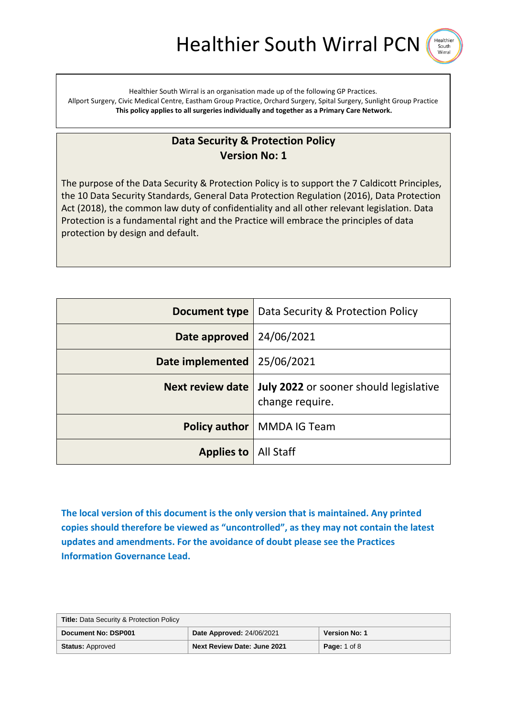Healthier South Wirra

Healthier South Wirral is an organisation made up of the following GP Practices. Allport Surgery, Civic Medical Centre, Eastham Group Practice, Orchard Surgery, Spital Surgery, Sunlight Group Practice **This policy applies to all surgeries individually and together as a Primary Care Network.**

# **Data Security & Protection Policy Version No: 1**

The purpose of the Data Security & Protection Policy is to support the 7 Caldicott Principles, the 10 Data Security Standards, General Data Protection Regulation (2016), Data Protection Act (2018), the common law duty of confidentiality and all other relevant legislation. Data Protection is a fundamental right and the Practice will embrace the principles of data protection by design and default.

| Document type                 | Data Security & Protection Policy                                |
|-------------------------------|------------------------------------------------------------------|
| Date approved   24/06/2021    |                                                                  |
| Date implemented   25/06/2021 |                                                                  |
| <b>Next review date</b>       | <b>July 2022</b> or sooner should legislative<br>change require. |
|                               | <b>Policy author</b>   MMDA IG Team                              |
| <b>Applies to   All Staff</b> |                                                                  |

**The local version of this document is the only version that is maintained. Any printed copies should therefore be viewed as "uncontrolled", as they may not contain the latest updates and amendments. For the avoidance of doubt please see the Practices Information Governance Lead.**

| <b>Title: Data Security &amp; Protection Policy</b> |                                    |                      |
|-----------------------------------------------------|------------------------------------|----------------------|
| Document No: DSP001                                 | <b>Date Approved: 24/06/2021</b>   | <b>Version No: 1</b> |
| <b>Status: Approved</b>                             | <b>Next Review Date: June 2021</b> | <b>Page: 1 of 8</b>  |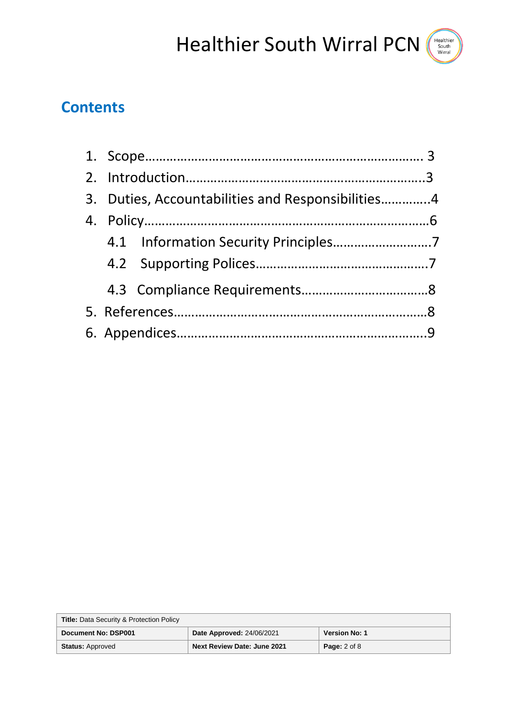

|  | 3. Duties, Accountabilities and Responsibilities4 |  |
|--|---------------------------------------------------|--|
|  |                                                   |  |
|  |                                                   |  |
|  |                                                   |  |
|  |                                                   |  |
|  |                                                   |  |
|  |                                                   |  |

| <b>Title: Data Security &amp; Protection Policy</b> |                                  |                      |
|-----------------------------------------------------|----------------------------------|----------------------|
| Document No: DSP001                                 | <b>Date Approved: 24/06/2021</b> | <b>Version No: 1</b> |
| <b>Status: Approved</b>                             | Next Review Date: June 2021      | <b>Page:</b> 2 of 8  |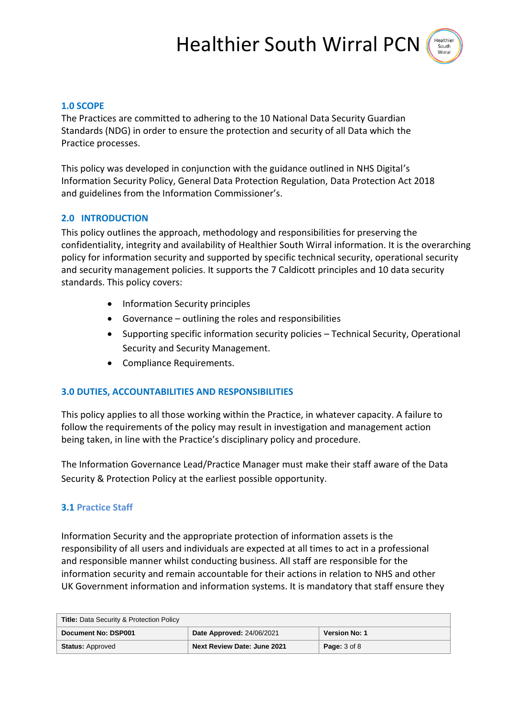

## **1.0 SCOPE**

The Practices are committed to adhering to the 10 National Data Security Guardian Standards (NDG) in order to ensure the protection and security of all Data which the Practice processes.

This policy was developed in conjunction with the guidance outlined in NHS Digital's Information Security Policy, General Data Protection Regulation, Data Protection Act 2018 and guidelines from the Information Commissioner's.

# **2.0 INTRODUCTION**

This policy outlines the approach, methodology and responsibilities for preserving the confidentiality, integrity and availability of Healthier South Wirral information. It is the overarching policy for information security and supported by specific technical security, operational security and security management policies. It supports the 7 Caldicott principles and 10 data security standards. This policy covers:

- Information Security principles
- Governance outlining the roles and responsibilities
- Supporting specific information security policies Technical Security, Operational Security and Security Management.
- Compliance Requirements.

# **3.0 DUTIES, ACCOUNTABILITIES AND RESPONSIBILITIES**

This policy applies to all those working within the Practice, in whatever capacity. A failure to follow the requirements of the policy may result in investigation and management action being taken, in line with the Practice's disciplinary policy and procedure.

The Information Governance Lead/Practice Manager must make their staff aware of the Data Security & Protection Policy at the earliest possible opportunity.

# **3.1 Practice Staff**

Information Security and the appropriate protection of information assets is the responsibility of all users and individuals are expected at all times to act in a professional and responsible manner whilst conducting business. All staff are responsible for the information security and remain accountable for their actions in relation to NHS and other UK Government information and information systems. It is mandatory that staff ensure they

| <b>Title: Data Security &amp; Protection Policy</b> |                                  |                         |
|-----------------------------------------------------|----------------------------------|-------------------------|
| Document No: DSP001                                 | <b>Date Approved: 24/06/2021</b> | <b>Version No: 1</b>    |
| <b>Status: Approved</b>                             | Next Review Date: June 2021      | <b>Page:</b> $3$ of $8$ |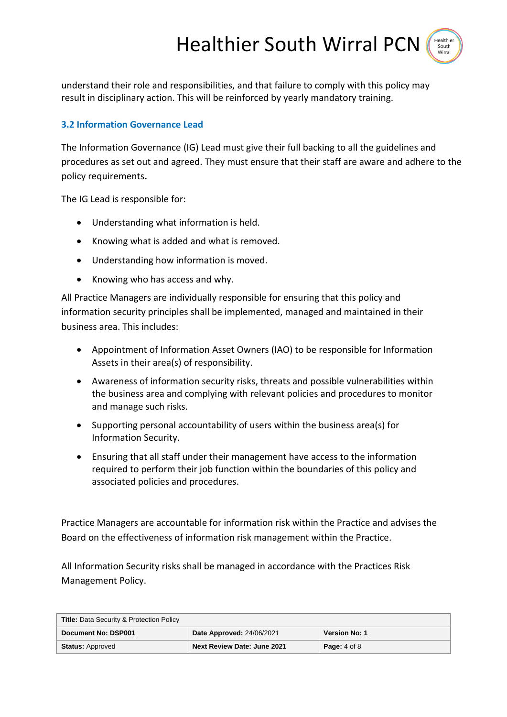Healthier South Wirral PCN South

understand their role and responsibilities, and that failure to comply with this policy may result in disciplinary action. This will be reinforced by yearly mandatory training.

## **3.2 Information Governance Lead**

The Information Governance (IG) Lead must give their full backing to all the guidelines and procedures as set out and agreed. They must ensure that their staff are aware and adhere to the policy requirements**.**

The IG Lead is responsible for:

- Understanding what information is held.
- Knowing what is added and what is removed.
- Understanding how information is moved.
- Knowing who has access and why.

All Practice Managers are individually responsible for ensuring that this policy and information security principles shall be implemented, managed and maintained in their business area. This includes:

- Appointment of Information Asset Owners (IAO) to be responsible for Information Assets in their area(s) of responsibility.
- Awareness of information security risks, threats and possible vulnerabilities within the business area and complying with relevant policies and procedures to monitor and manage such risks.
- Supporting personal accountability of users within the business area(s) for Information Security.
- Ensuring that all staff under their management have access to the information required to perform their job function within the boundaries of this policy and associated policies and procedures.

Practice Managers are accountable for information risk within the Practice and advises the Board on the effectiveness of information risk management within the Practice.

All Information Security risks shall be managed in accordance with the Practices Risk Management Policy.

| <b>Title: Data Security &amp; Protection Policy</b> |                                    |                         |
|-----------------------------------------------------|------------------------------------|-------------------------|
| Document No: DSP001                                 | <b>Date Approved: 24/06/2021</b>   | <b>Version No: 1</b>    |
| <b>Status: Approved</b>                             | <b>Next Review Date: June 2021</b> | <b>Page:</b> $4$ of $8$ |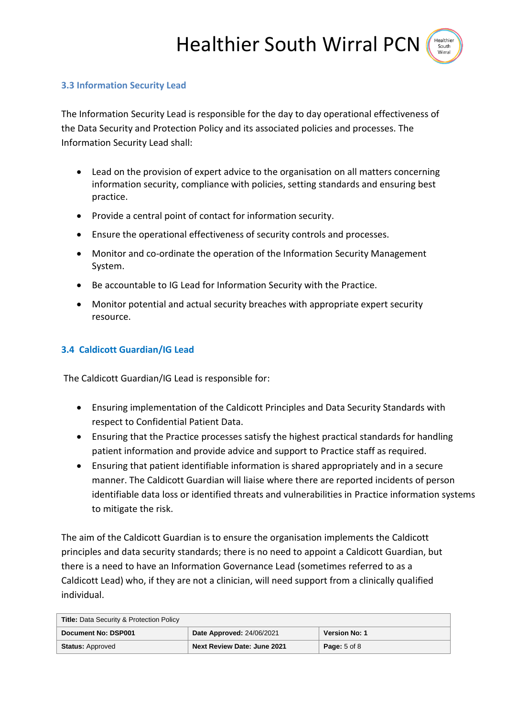# **3.3 Information Security Lead**

The Information Security Lead is responsible for the day to day operational effectiveness of the Data Security and Protection Policy and its associated policies and processes. The Information Security Lead shall:

- Lead on the provision of expert advice to the organisation on all matters concerning information security, compliance with policies, setting standards and ensuring best practice.
- Provide a central point of contact for information security.
- Ensure the operational effectiveness of security controls and processes.
- Monitor and co-ordinate the operation of the Information Security Management System.
- Be accountable to IG Lead for Information Security with the Practice.
- Monitor potential and actual security breaches with appropriate expert security resource.

# **3.4 Caldicott Guardian/IG Lead**

The Caldicott Guardian/IG Lead is responsible for:

- Ensuring implementation of the Caldicott Principles and Data Security Standards with respect to Confidential Patient Data.
- Ensuring that the Practice processes satisfy the highest practical standards for handling patient information and provide advice and support to Practice staff as required.
- Ensuring that patient identifiable information is shared appropriately and in a secure manner. The Caldicott Guardian will liaise where there are reported incidents of person identifiable data loss or identified threats and vulnerabilities in Practice information systems to mitigate the risk.

The aim of the Caldicott Guardian is to ensure the organisation implements the Caldicott principles and data security standards; there is no need to appoint a Caldicott Guardian, but there is a need to have an Information Governance Lead (sometimes referred to as a Caldicott Lead) who, if they are not a clinician, will need support from a clinically qualified individual.

| <b>Title: Data Security &amp; Protection Policy</b> |                                    |                         |
|-----------------------------------------------------|------------------------------------|-------------------------|
| Document No: DSP001                                 | <b>Date Approved: 24/06/2021</b>   | <b>Version No: 1</b>    |
| <b>Status: Approved</b>                             | <b>Next Review Date: June 2021</b> | <b>Page:</b> $5$ of $8$ |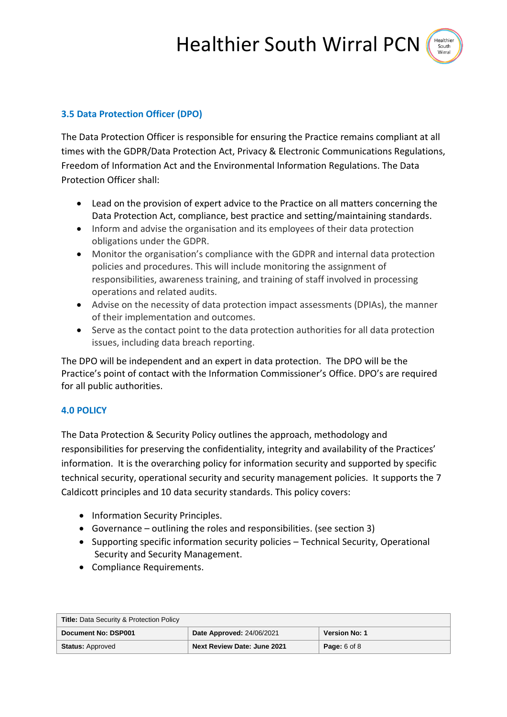

# **3.5 Data Protection Officer (DPO)**

The Data Protection Officer is responsible for ensuring the Practice remains compliant at all times with the GDPR/Data Protection Act, Privacy & Electronic Communications Regulations, Freedom of Information Act and the Environmental Information Regulations. The Data Protection Officer shall:

- Lead on the provision of expert advice to the Practice on all matters concerning the Data Protection Act, compliance, best practice and setting/maintaining standards.
- Inform and advise the organisation and its employees of their data protection obligations under the GDPR.
- Monitor the organisation's compliance with the GDPR and internal data protection policies and procedures. This will include monitoring the assignment of responsibilities, awareness training, and training of staff involved in processing operations and related audits.
- Advise on the necessity of data protection impact assessments (DPIAs), the manner of their implementation and outcomes.
- Serve as the contact point to the data protection authorities for all data protection issues, including data breach reporting.

The DPO will be independent and an expert in data protection. The DPO will be the Practice's point of contact with the Information Commissioner's Office. DPO's are required for all public authorities.

# **4.0 POLICY**

The Data Protection & Security Policy outlines the approach, methodology and responsibilities for preserving the confidentiality, integrity and availability of the Practices' information. It is the overarching policy for information security and supported by specific technical security, operational security and security management policies. It supports the 7 Caldicott principles and 10 data security standards. This policy covers:

- Information Security Principles.
- Governance outlining the roles and responsibilities. (see section 3)
- Supporting specific information security policies Technical Security, Operational Security and Security Management.
- Compliance Requirements.

| <b>Title: Data Security &amp; Protection Policy</b> |                                  |                         |
|-----------------------------------------------------|----------------------------------|-------------------------|
| Document No: DSP001                                 | <b>Date Approved: 24/06/2021</b> | <b>Version No: 1</b>    |
| <b>Status: Approved</b>                             | Next Review Date: June 2021      | <b>Page:</b> $6$ of $8$ |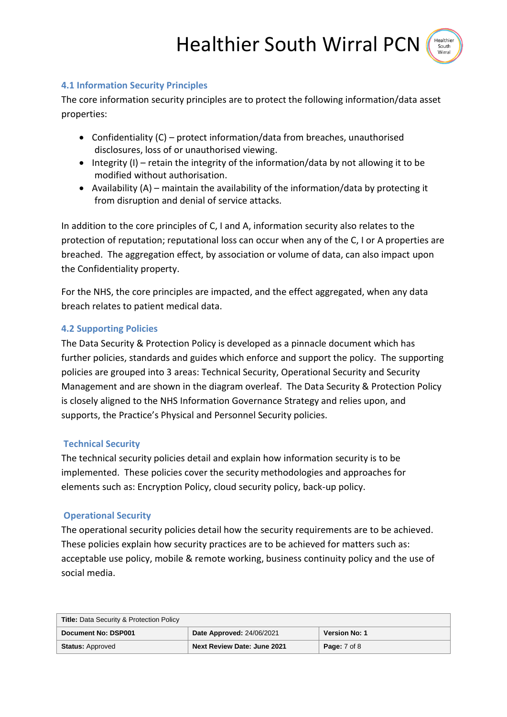South

## **4.1 Information Security Principles**

The core information security principles are to protect the following information/data asset properties:

- Confidentiality (C) protect information/data from breaches, unauthorised disclosures, loss of or unauthorised viewing.
- $\bullet$  Integrity (I) retain the integrity of the information/data by not allowing it to be modified without authorisation.
- Availability  $(A)$  maintain the availability of the information/data by protecting it from disruption and denial of service attacks.

In addition to the core principles of C, I and A, information security also relates to the protection of reputation; reputational loss can occur when any of the C, I or A properties are breached. The aggregation effect, by association or volume of data, can also impact upon the Confidentiality property.

For the NHS, the core principles are impacted, and the effect aggregated, when any data breach relates to patient medical data.

## **4.2 Supporting Policies**

The Data Security & Protection Policy is developed as a pinnacle document which has further policies, standards and guides which enforce and support the policy. The supporting policies are grouped into 3 areas: Technical Security, Operational Security and Security Management and are shown in the diagram overleaf. The Data Security & Protection Policy is closely aligned to the NHS Information Governance Strategy and relies upon, and supports, the Practice's Physical and Personnel Security policies.

### **Technical Security**

The technical security policies detail and explain how information security is to be implemented. These policies cover the security methodologies and approaches for elements such as: Encryption Policy, cloud security policy, back-up policy.

### **Operational Security**

The operational security policies detail how the security requirements are to be achieved. These policies explain how security practices are to be achieved for matters such as: acceptable use policy, mobile & remote working, business continuity policy and the use of social media.

| <b>Title: Data Security &amp; Protection Policy</b> |                                  |                      |
|-----------------------------------------------------|----------------------------------|----------------------|
| Document No: DSP001                                 | <b>Date Approved: 24/06/2021</b> | <b>Version No: 1</b> |
| <b>Status: Approved</b>                             | Next Review Date: June 2021      | <b>Page:</b> 7 of 8  |